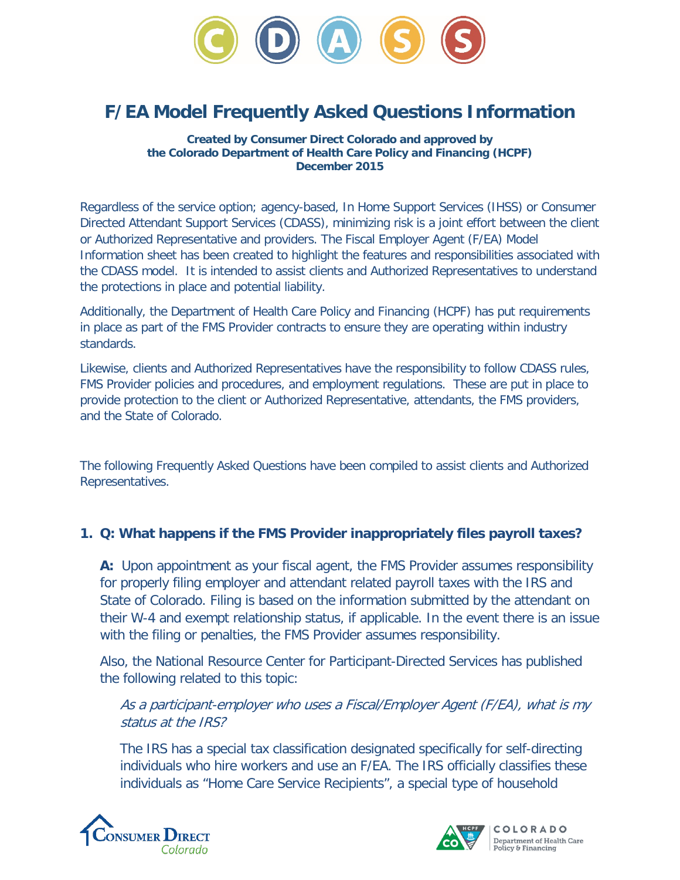

# **F/EA Model Frequently Asked Questions Information**

**Created by Consumer Direct Colorado and approved by the Colorado Department of Health Care Policy and Financing (HCPF) December 2015**

Regardless of the service option; agency-based, In Home Support Services (IHSS) or Consumer Directed Attendant Support Services (CDASS), minimizing risk is a joint effort between the client or Authorized Representative and providers. The Fiscal Employer Agent (F/EA) Model Information sheet has been created to highlight the features and responsibilities associated with the CDASS model. It is intended to assist clients and Authorized Representatives to understand the protections in place and potential liability.

Additionally, the Department of Health Care Policy and Financing (HCPF) has put requirements in place as part of the FMS Provider contracts to ensure they are operating within industry standards.

Likewise, clients and Authorized Representatives have the responsibility to follow CDASS rules, FMS Provider policies and procedures, and employment regulations. These are put in place to provide protection to the client or Authorized Representative, attendants, the FMS providers, and the State of Colorado.

The following Frequently Asked Questions have been compiled to assist clients and Authorized Representatives.

#### **1. Q: What happens if the FMS Provider inappropriately files payroll taxes?**

**A:** Upon appointment as your fiscal agent, the FMS Provider assumes responsibility for properly filing employer and attendant related payroll taxes with the IRS and State of Colorado. Filing is based on the information submitted by the attendant on their W-4 and exempt relationship status, if applicable. In the event there is an issue with the filing or penalties, the FMS Provider assumes responsibility.

Also, the National Resource Center for Participant-Directed Services has published the following related to this topic:

As a participant-employer who uses a Fiscal/Employer Agent (F/EA), what is my status at the IRS?

The IRS has a special tax classification designated specifically for self-directing individuals who hire workers and use an F/EA. The IRS officially classifies these individuals as "Home Care Service Recipients", a special type of household



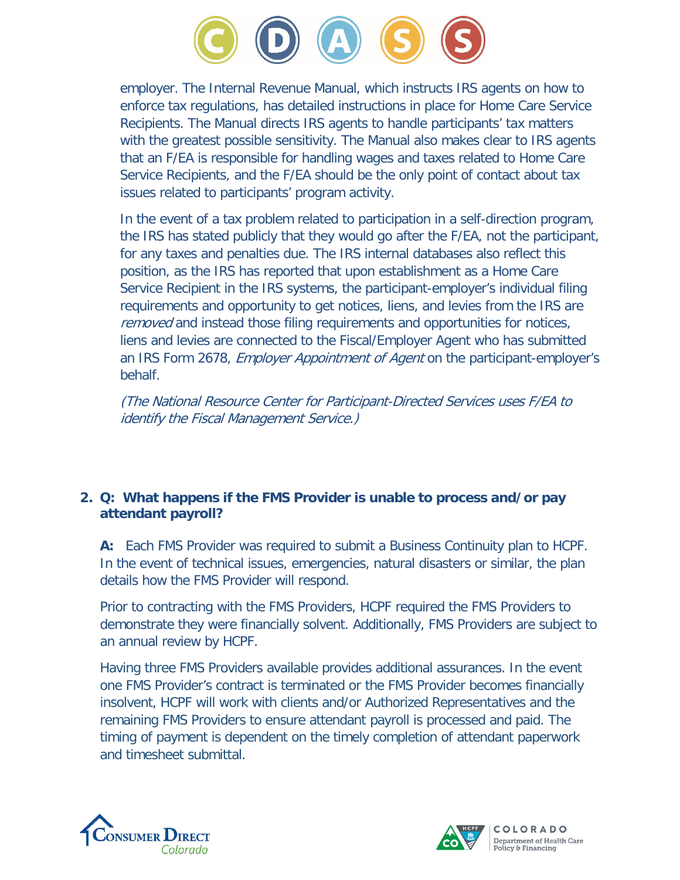

employer. The Internal Revenue Manual, which instructs IRS agents on how to enforce tax regulations, has detailed instructions in place for Home Care Service Recipients. The Manual directs IRS agents to handle participants' tax matters with the greatest possible sensitivity. The Manual also makes clear to IRS agents that an F/EA is responsible for handling wages and taxes related to Home Care Service Recipients, and the F/EA should be the only point of contact about tax issues related to participants' program activity.

In the event of a tax problem related to participation in a self-direction program, the IRS has stated publicly that they would go after the F/EA, not the participant, for any taxes and penalties due. The IRS internal databases also reflect this position, as the IRS has reported that upon establishment as a Home Care Service Recipient in the IRS systems, the participant-employer's individual filing requirements and opportunity to get notices, liens, and levies from the IRS are removed and instead those filing requirements and opportunities for notices, liens and levies are connected to the Fiscal/Employer Agent who has submitted an IRS Form 2678, *Employer Appointment of Agent* on the participant-employer's behalf.

(The National Resource Center for Participant-Directed Services uses F/EA to identify the Fiscal Management Service.)

## **2. Q: What happens if the FMS Provider is unable to process and/or pay attendant payroll?**

**A:** Each FMS Provider was required to submit a Business Continuity plan to HCPF. In the event of technical issues, emergencies, natural disasters or similar, the plan details how the FMS Provider will respond.

Prior to contracting with the FMS Providers, HCPF required the FMS Providers to demonstrate they were financially solvent. Additionally, FMS Providers are subject to an annual review by HCPF.

Having three FMS Providers available provides additional assurances. In the event one FMS Provider's contract is terminated or the FMS Provider becomes financially insolvent, HCPF will work with clients and/or Authorized Representatives and the remaining FMS Providers to ensure attendant payroll is processed and paid. The timing of payment is dependent on the timely completion of attendant paperwork and timesheet submittal.



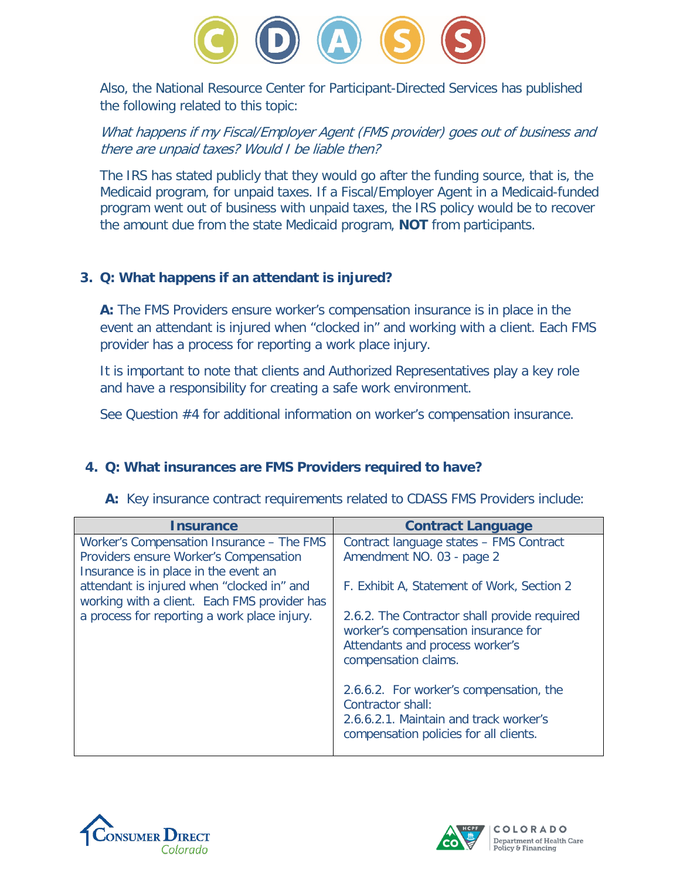

Also, the National Resource Center for Participant-Directed Services has published the following related to this topic:

What happens if my Fiscal/Employer Agent (FMS provider) goes out of business and there are unpaid taxes? Would I be liable then?

The IRS has stated publicly that they would go after the funding source, that is, the Medicaid program, for unpaid taxes. If a Fiscal/Employer Agent in a Medicaid-funded program went out of business with unpaid taxes, the IRS policy would be to recover the amount due from the state Medicaid program, **NOT** from participants.

## **3. Q: What happens if an attendant is injured?**

**A:** The FMS Providers ensure worker's compensation insurance is in place in the event an attendant is injured when "clocked in" and working with a client. Each FMS provider has a process for reporting a work place injury.

It is important to note that clients and Authorized Representatives play a key role and have a responsibility for creating a safe work environment.

See Question #4 for additional information on worker's compensation insurance.

# **4. Q: What insurances are FMS Providers required to have?**

|  |  |  |  | A: Key insurance contract requirements related to CDASS FMS Providers include: |  |  |  |  |  |
|--|--|--|--|--------------------------------------------------------------------------------|--|--|--|--|--|
|--|--|--|--|--------------------------------------------------------------------------------|--|--|--|--|--|

| <b>Insurance</b>                                                                           | <b>Contract Language</b>                                                                                                                         |
|--------------------------------------------------------------------------------------------|--------------------------------------------------------------------------------------------------------------------------------------------------|
| Worker's Compensation Insurance – The FMS                                                  | Contract language states - FMS Contract                                                                                                          |
| Providers ensure Worker's Compensation                                                     | Amendment NO. 03 - page 2                                                                                                                        |
| Insurance is in place in the event an                                                      |                                                                                                                                                  |
| attendant is injured when "clocked in" and<br>working with a client. Each FMS provider has | F. Exhibit A, Statement of Work, Section 2                                                                                                       |
| a process for reporting a work place injury.                                               | 2.6.2. The Contractor shall provide required<br>worker's compensation insurance for<br>Attendants and process worker's<br>compensation claims.   |
|                                                                                            | 2.6.6.2. For worker's compensation, the<br>Contractor shall:<br>2.6.6.2.1. Maintain and track worker's<br>compensation policies for all clients. |



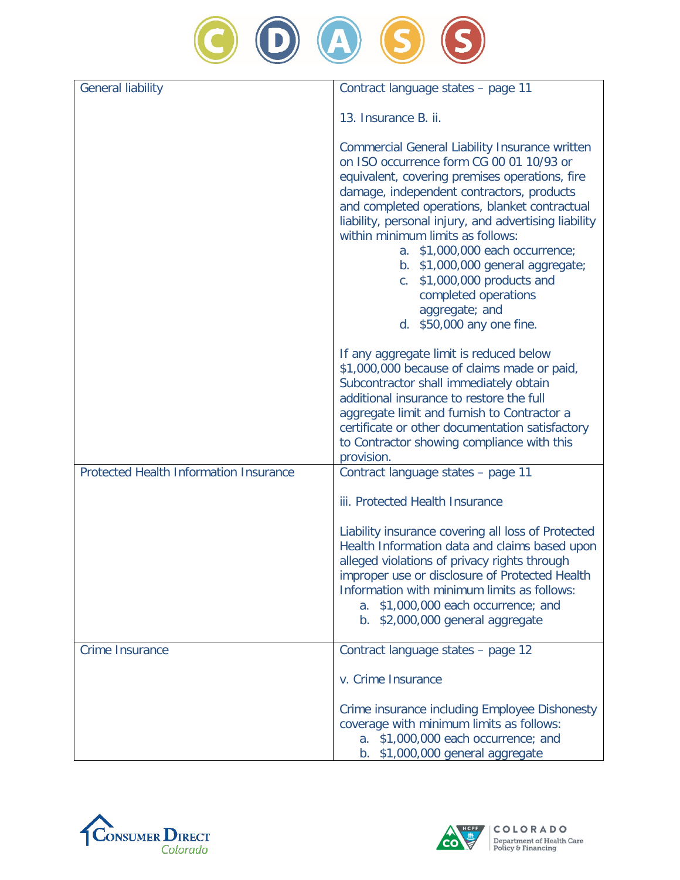

| <b>General liability</b>               | Contract language states - page 11                                                                                                                                                                                                                                                                                                                                                                                                                                                                                               |
|----------------------------------------|----------------------------------------------------------------------------------------------------------------------------------------------------------------------------------------------------------------------------------------------------------------------------------------------------------------------------------------------------------------------------------------------------------------------------------------------------------------------------------------------------------------------------------|
|                                        | 13. Insurance B. ii.                                                                                                                                                                                                                                                                                                                                                                                                                                                                                                             |
|                                        | <b>Commercial General Liability Insurance written</b><br>on ISO occurrence form CG 00 01 10/93 or<br>equivalent, covering premises operations, fire<br>damage, independent contractors, products<br>and completed operations, blanket contractual<br>liability, personal injury, and advertising liability<br>within minimum limits as follows:<br>a. \$1,000,000 each occurrence;<br>b. \$1,000,000 general aggregate;<br>\$1,000,000 products and<br>C.<br>completed operations<br>aggregate; and<br>d. \$50,000 any one fine. |
|                                        | If any aggregate limit is reduced below<br>\$1,000,000 because of claims made or paid,<br>Subcontractor shall immediately obtain<br>additional insurance to restore the full<br>aggregate limit and furnish to Contractor a<br>certificate or other documentation satisfactory<br>to Contractor showing compliance with this<br>provision.                                                                                                                                                                                       |
| Protected Health Information Insurance | Contract language states - page 11                                                                                                                                                                                                                                                                                                                                                                                                                                                                                               |
|                                        | iii. Protected Health Insurance                                                                                                                                                                                                                                                                                                                                                                                                                                                                                                  |
|                                        | Liability insurance covering all loss of Protected<br>Health Information data and claims based upon<br>alleged violations of privacy rights through<br>improper use or disclosure of Protected Health<br>Information with minimum limits as follows:<br>a. \$1,000,000 each occurrence; and<br>b. \$2,000,000 general aggregate                                                                                                                                                                                                  |
| <b>Crime Insurance</b>                 | Contract language states - page 12                                                                                                                                                                                                                                                                                                                                                                                                                                                                                               |
|                                        | v. Crime Insurance                                                                                                                                                                                                                                                                                                                                                                                                                                                                                                               |
|                                        | Crime insurance including Employee Dishonesty<br>coverage with minimum limits as follows:<br>a. \$1,000,000 each occurrence; and<br>b. \$1,000,000 general aggregate                                                                                                                                                                                                                                                                                                                                                             |



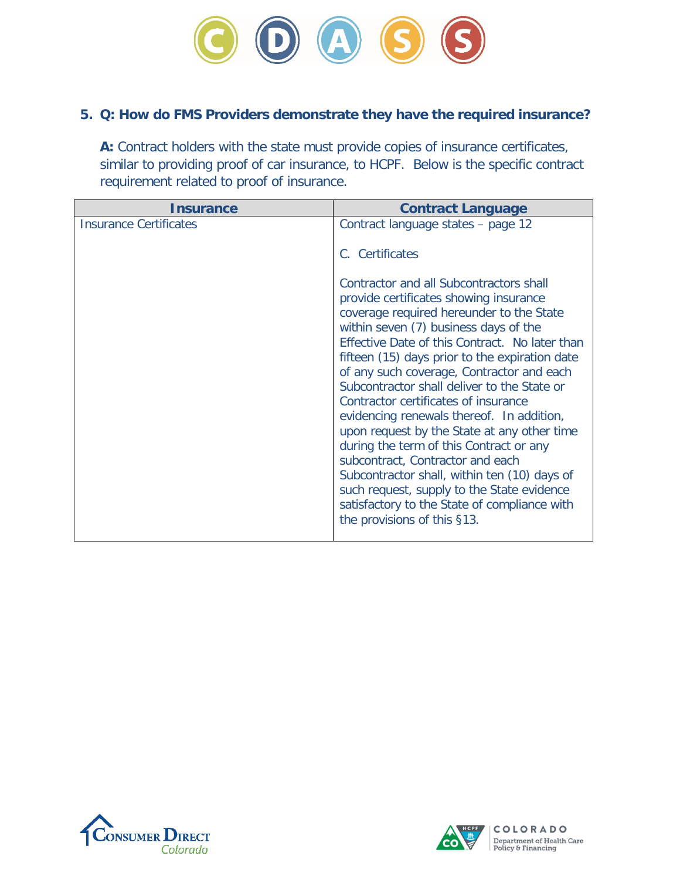

## **5. Q: How do FMS Providers demonstrate they have the required insurance?**

**A:** Contract holders with the state must provide copies of insurance certificates, similar to providing proof of car insurance, to HCPF. Below is the specific contract requirement related to proof of insurance.

| Insurance                     | <b>Contract Language</b>                                                                                                                                                                                                                                                                                                                                                                                                                                                                                                                                                                                                                                                                                                                                               |
|-------------------------------|------------------------------------------------------------------------------------------------------------------------------------------------------------------------------------------------------------------------------------------------------------------------------------------------------------------------------------------------------------------------------------------------------------------------------------------------------------------------------------------------------------------------------------------------------------------------------------------------------------------------------------------------------------------------------------------------------------------------------------------------------------------------|
| <b>Insurance Certificates</b> | Contract language states - page 12                                                                                                                                                                                                                                                                                                                                                                                                                                                                                                                                                                                                                                                                                                                                     |
|                               | C. Certificates                                                                                                                                                                                                                                                                                                                                                                                                                                                                                                                                                                                                                                                                                                                                                        |
|                               | Contractor and all Subcontractors shall<br>provide certificates showing insurance<br>coverage required hereunder to the State<br>within seven (7) business days of the<br>Effective Date of this Contract. No later than<br>fifteen (15) days prior to the expiration date<br>of any such coverage, Contractor and each<br>Subcontractor shall deliver to the State or<br>Contractor certificates of insurance<br>evidencing renewals thereof. In addition,<br>upon request by the State at any other time<br>during the term of this Contract or any<br>subcontract, Contractor and each<br>Subcontractor shall, within ten (10) days of<br>such request, supply to the State evidence<br>satisfactory to the State of compliance with<br>the provisions of this §13. |



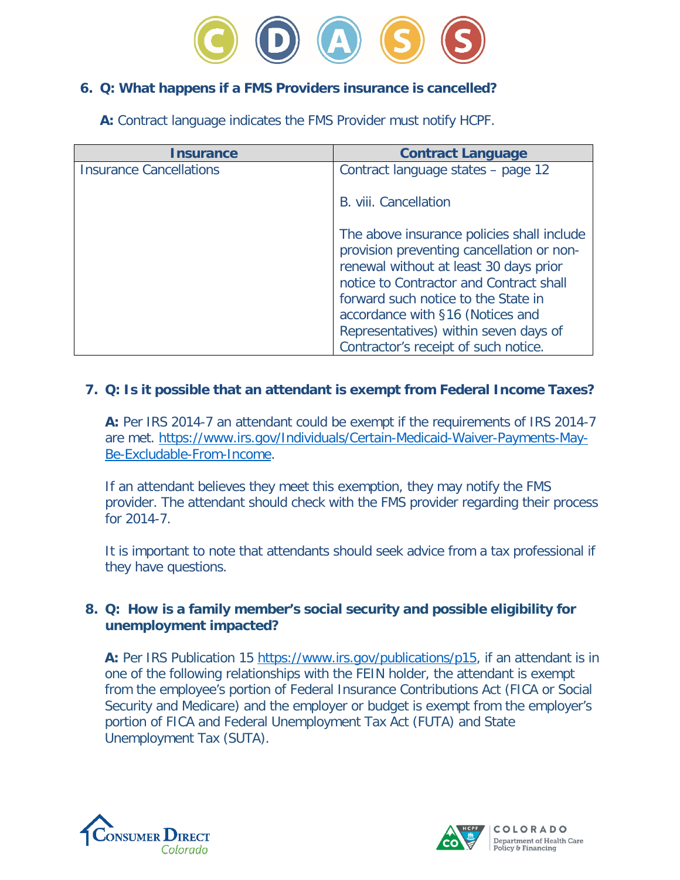

### **6. Q: What happens if a FMS Providers insurance is cancelled?**

**A:** Contract language indicates the FMS Provider must notify HCPF.

| Insurance                      | <b>Contract Language</b>                                                                                                                                                                                                                                                                                                                 |
|--------------------------------|------------------------------------------------------------------------------------------------------------------------------------------------------------------------------------------------------------------------------------------------------------------------------------------------------------------------------------------|
| <b>Insurance Cancellations</b> | Contract language states - page 12                                                                                                                                                                                                                                                                                                       |
|                                | B. viii. Cancellation                                                                                                                                                                                                                                                                                                                    |
|                                | The above insurance policies shall include<br>provision preventing cancellation or non-<br>renewal without at least 30 days prior<br>notice to Contractor and Contract shall<br>forward such notice to the State in<br>accordance with §16 (Notices and<br>Representatives) within seven days of<br>Contractor's receipt of such notice. |

## **7. Q: Is it possible that an attendant is exempt from Federal Income Taxes?**

**A:** Per IRS 2014-7 an attendant could be exempt if the requirements of IRS 2014-7 are met. [https://www.irs.gov/Individuals/Certain-Medicaid-Waiver-Payments-May-](https://www.irs.gov/Individuals/Certain-Medicaid-Waiver-Payments-May-Be-Excludable-From-Income)[Be-Excludable-From-Income.](https://www.irs.gov/Individuals/Certain-Medicaid-Waiver-Payments-May-Be-Excludable-From-Income)

If an attendant believes they meet this exemption, they may notify the FMS provider. The attendant should check with the FMS provider regarding their process for 2014-7.

It is important to note that attendants should seek advice from a tax professional if they have questions.

#### **8. Q: How is a family member's social security and possible eligibility for unemployment impacted?**

A: Per IRS Publication 15 [https://www.irs.gov/publications/p15,](https://www.irs.gov/publications/p15) if an attendant is in one of the following relationships with the FEIN holder, the attendant is exempt from the employee's portion of Federal Insurance Contributions Act (FICA or Social Security and Medicare) and the employer or budget is exempt from the employer's portion of FICA and Federal Unemployment Tax Act (FUTA) and State Unemployment Tax (SUTA).



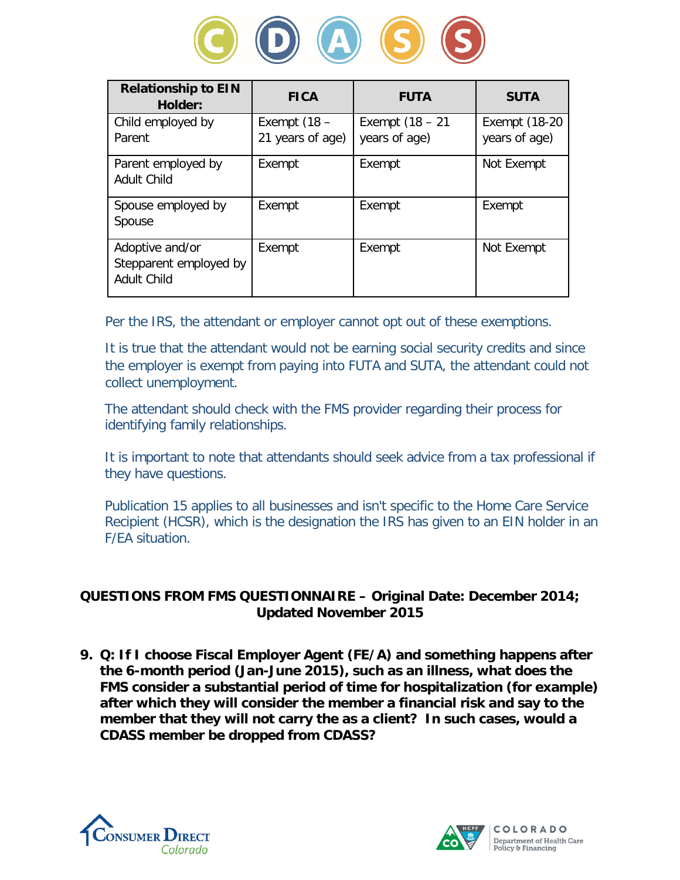

| <b>Relationship to EIN</b><br>Holder:                           | <b>FICA</b>                        | <b>FUTA</b>                         | <b>SUTA</b>                    |
|-----------------------------------------------------------------|------------------------------------|-------------------------------------|--------------------------------|
| Child employed by<br>Parent                                     | Exempt $(18 -$<br>21 years of age) | Exempt $(18 - 21)$<br>years of age) | Exempt (18-20<br>years of age) |
| Parent employed by<br><b>Adult Child</b>                        | Exempt                             | Exempt                              | Not Exempt                     |
| Spouse employed by<br>Spouse                                    | Exempt                             | Exempt                              | Exempt                         |
| Adoptive and/or<br>Stepparent employed by<br><b>Adult Child</b> | Exempt                             | Exempt                              | Not Exempt                     |

Per the IRS, the attendant or employer cannot opt out of these exemptions.

It is true that the attendant would not be earning social security credits and since the employer is exempt from paying into FUTA and SUTA, the attendant could not collect unemployment.

The attendant should check with the FMS provider regarding their process for identifying family relationships.

It is important to note that attendants should seek advice from a tax professional if they have questions.

Publication 15 applies to all businesses and isn't specific to the Home Care Service Recipient (HCSR), which is the designation the IRS has given to an EIN holder in an F/EA situation.

## **QUESTIONS FROM FMS QUESTIONNAIRE – Original Date: December 2014; Updated November 2015**

**9. Q: If I choose Fiscal Employer Agent (FE/A) and something happens after the 6-month period (Jan-June 2015), such as an illness, what does the FMS consider a substantial period of time for hospitalization (for example) after which they will consider the member a financial risk and say to the member that they will not carry the as a client? In such cases, would a CDASS member be dropped from CDASS?** 



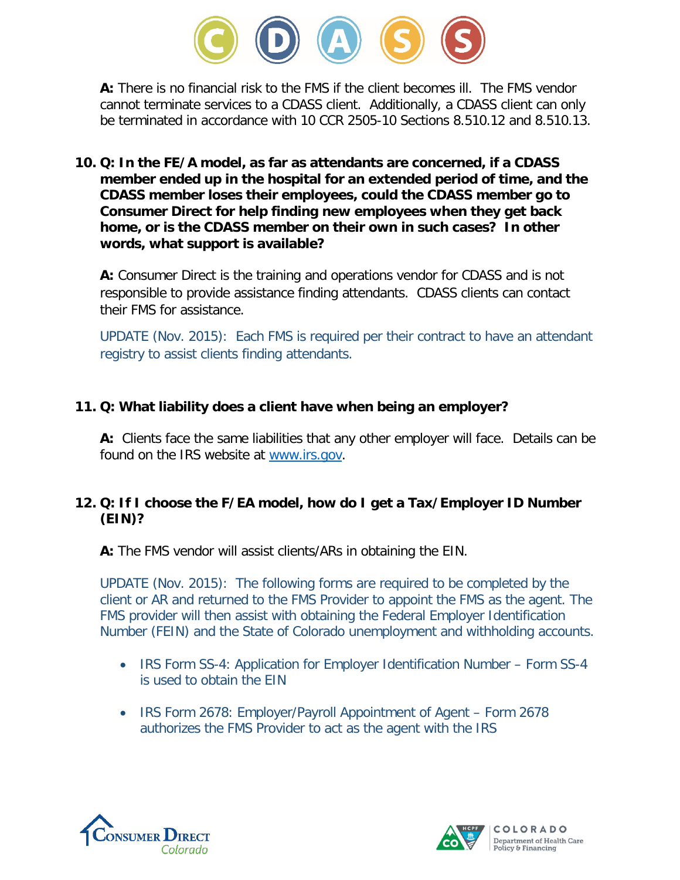

**A:** There is no financial risk to the FMS if the client becomes ill. The FMS vendor cannot terminate services to a CDASS client. Additionally, a CDASS client can only be terminated in accordance with 10 CCR 2505-10 Sections 8.510.12 and 8.510.13.

**10. Q: In the FE/A model, as far as attendants are concerned, if a CDASS member ended up in the hospital for an extended period of time, and the CDASS member loses their employees, could the CDASS member go to Consumer Direct for help finding new employees when they get back home, or is the CDASS member on their own in such cases? In other words, what support is available?** 

**A:** Consumer Direct is the training and operations vendor for CDASS and is not responsible to provide assistance finding attendants. CDASS clients can contact their FMS for assistance.

UPDATE (Nov. 2015): Each FMS is required per their contract to have an attendant registry to assist clients finding attendants.

## **11. Q: What liability does a client have when being an employer?**

**A:** Clients face the same liabilities that any other employer will face. Details can be found on the IRS website at [www.irs.gov.](http://www.irs.gov/)

# **12. Q: If I choose the F/EA model, how do I get a Tax/Employer ID Number (EIN)?**

**A:** The FMS vendor will assist clients/ARs in obtaining the EIN.

UPDATE (Nov. 2015): The following forms are required to be completed by the client or AR and returned to the FMS Provider to appoint the FMS as the agent. The FMS provider will then assist with obtaining the Federal Employer Identification Number (FEIN) and the State of Colorado unemployment and withholding accounts.

- IRS Form SS-4: Application for Employer Identification Number Form SS-4 is used to obtain the EIN
- IRS Form 2678: Employer/Payroll Appointment of Agent Form 2678 authorizes the FMS Provider to act as the agent with the IRS



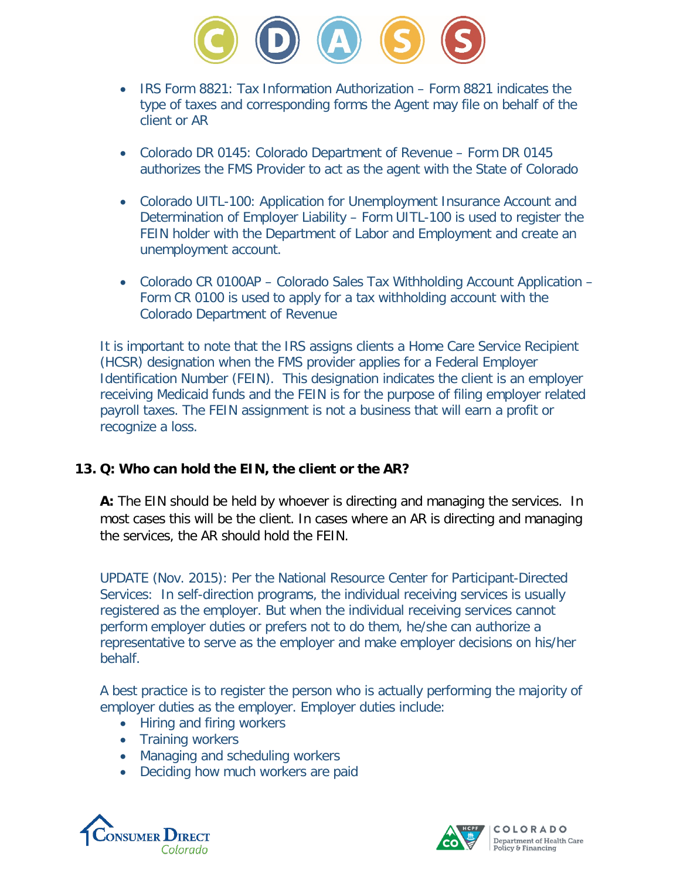

- IRS Form 8821: Tax Information Authorization Form 8821 indicates the type of taxes and corresponding forms the Agent may file on behalf of the client or AR
- Colorado DR 0145: Colorado Department of Revenue Form DR 0145 authorizes the FMS Provider to act as the agent with the State of Colorado
- Colorado UITL-100: Application for Unemployment Insurance Account and Determination of Employer Liability – Form UITL-100 is used to register the FEIN holder with the Department of Labor and Employment and create an unemployment account.
- Colorado CR 0100AP Colorado Sales Tax Withholding Account Application Form CR 0100 is used to apply for a tax withholding account with the Colorado Department of Revenue

It is important to note that the IRS assigns clients a Home Care Service Recipient (HCSR) designation when the FMS provider applies for a Federal Employer Identification Number (FEIN). This designation indicates the client is an employer receiving Medicaid funds and the FEIN is for the purpose of filing employer related payroll taxes. The FEIN assignment is not a business that will earn a profit or recognize a loss.

#### **13. Q: Who can hold the EIN, the client or the AR?**

**A:** The EIN should be held by whoever is directing and managing the services. In most cases this will be the client. In cases where an AR is directing and managing the services, the AR should hold the FEIN.

UPDATE (Nov. 2015): Per the National Resource Center for Participant-Directed Services: In self-direction programs, the individual receiving services is usually registered as the employer. But when the individual receiving services cannot perform employer duties or prefers not to do them, he/she can authorize a representative to serve as the employer and make employer decisions on his/her behalf.

A best practice is to register the person who is actually performing the majority of employer duties as the employer. Employer duties include:

- Hiring and firing workers
- Training workers
- Managing and scheduling workers
- Deciding how much workers are paid